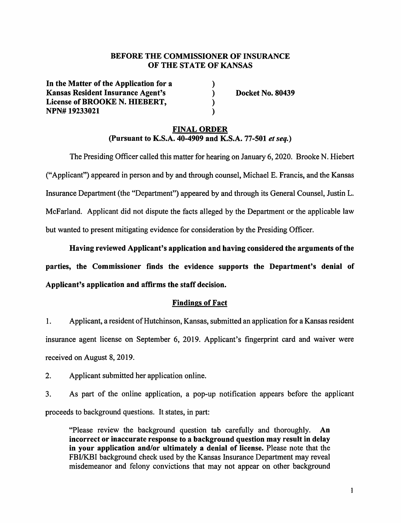### **BEFORE THE COMMISSIONER OF INSURANCE OF THE STATE OF KANSAS**

) ) ) )

**In the Matter of the Application for a Kansas Resident Insurance Agent's License of BROOKE N. HIEBERT, NPN# 19233021** 

**Docket No. 80439** 

# **FINAL ORDER (Pursuant to K.S.A. 40-4909 and K.S.A. 77-501** *et seq.)*

The Presiding Officer called this matter for hearing on January 6, 2020. Brooke N. Hiebert ("Applicant") appeared in person and by and through counsel, Michael E. Francis, and the Kansas Insurance Department (the "Department") appeared by and through its General Counsel, Justin L. McFarland. Applicant did not dispute the facts alleged by the Department or the applicable law but wanted to present mitigating evidence for consideration by the Presiding Officer.

**Having reviewed Applicant's application and having considered the arguments of the parties, the Commissioner finds the evidence supports the Department's denial of Applicant's application and affirms the staff decision.** 

### **Findings of Fact**

- 1. Applicant, a resident of Hutchinson, Kansas, submitted an application for a Kansas resident insurance agent license on September 6, 2019. Applicant's fingerprint card and waiver were received on August 8, 2019.
- 2. Applicant submitted her application online.

3. As part of the online application, a pop-up notification appears before the applicant proceeds to background questions. It states, in part:

"Please review the background question tab carefully and thoroughly. An **incorrect or inaccurate response to a background question may result in delay in your application and/or ultimately a denial of license.** Please note that the FBI/KBI background check used by the Kansas Insurance Department may reveal misdemeanor and felony convictions that may not appear on other background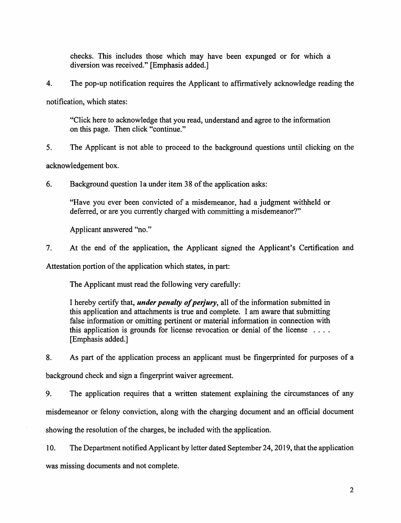checks. This includes those which may have been expunged or for which a diversion was received." [Emphasis added.]

4. The pop-up notification requires the Applicant to affirmatively acknowledge reading the

notification, which states:

"Click here to acknowledge that you read, understand and agree to the information on this page. Then click "continue."

5. The Applicant is not able to proceed to the background questions until clicking on the

acknowledgement box.

6. Background question la under item 38 of the application asks:

"Have you ever been convicted of a misdemeanor, had a judgment withheld or deferred, or are you currently charged with committing a misdemeanor?"

Applicant answered "no."

7. At the end of the application, the Applicant signed the Applicant's Certification and

Attestation portion of the application which states, in part:

The Applicant must read the following very carefully:

I hereby certify that, *under penalty of perjury,* all of the information submitted in this application and attachments is true and complete. I am aware that submitting false information or omitting pertinent or material information in connection with this application is grounds for license revocation or denial of the license  $\dots$ [Emphasis added.]

8. As part of the application process an applicant must be fingerprinted for purposes of a background check and sign a fingerprint waiver agreement.

9. The application requires that a written statement explaining the circumstances of any misdemeanor or felony conviction, along with the charging document and an official document showing the resolution of the charges, be included with the application.

10. The Department notified Applicant by letter dated September 24, 2019, that the application was missing documents and not complete.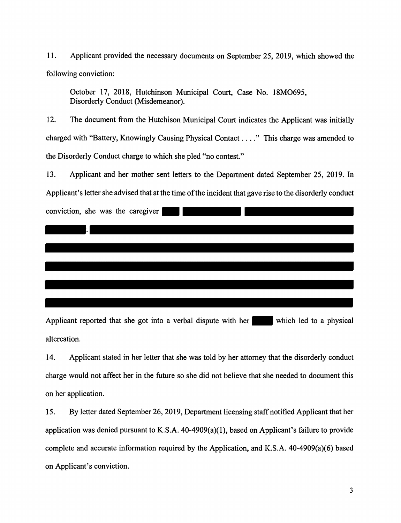11. Applicant provided the necessary documents on September 25, 2019, which showed the following conviction:

October 17, 2018, Hutchinson Municipal Court, Case No. 18MO695, Disorderly Conduct (Misdemeanor).

12. The document from the Hutchison Municipal Court indicates the Applicant was initially charged with "Battery, Knowingly Causing Physical Contact .... " This charge was amended to the Disorderly Conduct charge to which she pied "no contest."

13. Applicant and her mother sent letters to the Department dated September 25, 2019. In

Applicant's letter she advised that at the time of the incident that gave rise to the disorderly conduct



Applicant reported that she got into a verbal dispute with her which led to a physical altercation.

14. Applicant stated in her letter that she was told by her attorney that the disorderly conduct charge would not affect her in the future so she did not believe that she needed to document this on her application.

15. By letter dated September 26, 2019, Department licensing staff notified Applicant that her application was denied pursuant to K.S.A.  $40-4909(a)(1)$ , based on Applicant's failure to provide complete and accurate information required by the Application, and K.S.A. 40-4909(a)(6) based on Applicant's conviction.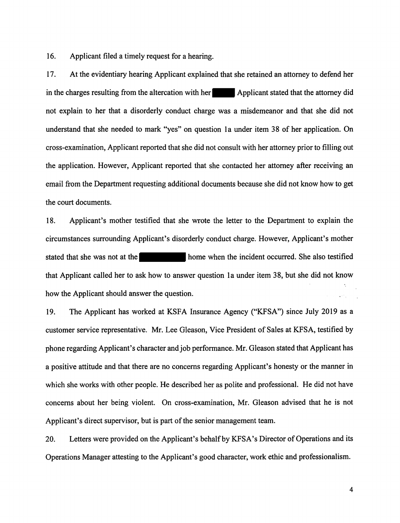16. Applicant filed a timely request for a hearing.

17. At the evidentiary hearing Applicant explained that she retained an attorney to defend her in the charges resulting from the altercation with her Applicant stated that the attorney did not explain to her that a disorderly conduct charge was a misdemeanor and that she did not understand that she needed to mark ''yes" on question la under item 38 of her application. On cross-examination, Applicant reported that she did not consult with her attorney prior to filling out the application. However, Applicant reported that she contacted her attorney after receiving an email from the Department requesting additional documents because she did not know how to get the court documents.

18. Applicant's mother testified that she wrote the letter to the Department to explain the circumstances surrounding Applicant's disorderly conduct charge. However, Applicant's mother stated that she was not at the home when the incident occurred. She also testified that Applicant called her to ask how to answer question la under item 38, but she did not know how the Applicant should answer the question.

19. The Applicant has worked at KSFA Insurance Agency ("KFSA") since July 2019 as a customer service representative. Mr. Lee Gleason, Vice President of Sales at KFSA, testified by phone regarding Applicant's character and job performance. Mr. Gleason stated that Applicant has a positive attitude and that there are no concerns regarding Applicant's honesty or the manner in which she works with other people. He described her as polite and professional. He did not have concerns about her being violent. On cross-examination, Mr. Gleason advised that he is not Applicant's direct supervisor, but is part of the senior management team.

20. Letters were provided on the Applicant's behalf by KFSA's Director of Operations and its Operations Manager attesting to the Applicant's good character, work ethic and professionalism.

4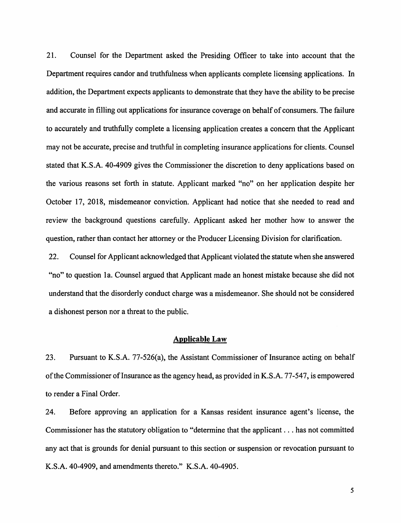21. Counsel for the Department asked the Presiding Officer to take into account that the Department requires candor and truthfulness when applicants complete licensing applications. In addition, the Department expects applicants to demonstrate that they have the ability to be precise and accurate in filling out applications for insurance coverage on behalf of consumers. The failure to accurately and truthfully complete a licensing application creates a concern that the Applicant may not be accurate, precise and truthful in completing insurance applications for clients. Counsel stated that K.S.A. 40-4909 gives the Commissioner the discretion to deny applications based on the various reasons set forth in statute. Applicant marked "no" on her application despite her October 17, 2018, misdemeanor conviction. Applicant had notice that she needed to read and review the background questions carefully. Applicant asked her mother how to answer the question, rather than contact her attorney or the Producer Licensing Division for clarification.

22. Counsel for Applicant acknowledged that Applicant violated the statute when she answered "no" to question 1a. Counsel argued that Applicant made an honest mistake because she did not understand that the disorderly conduct charge was a misdemeanor. She should not be considered a dishonest person nor a threat to the public.

#### **Applicable Law**

23. Pursuant to K.S.A. 77-526(a), the Assistant Commissioner of Insurance acting on behalf of the Commissioner of Insurance as the agency head, as provided in K.S.A. 77-547, is empowered to render a Final Order.

24. Before approving an application for a Kansas resident insurance agent's license, the Commissioner has the statutory obligation to "determine that the applicant ... has not committed any act that is grounds for denial pursuant to this section or suspension or revocation pursuant to **K.S.A.** 40-4909, and amendments thereto." **K.S.A.** 40-4905.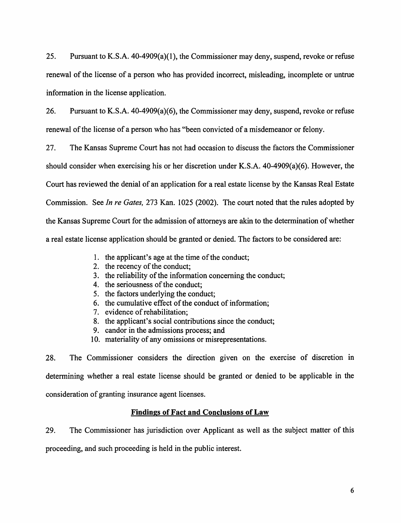25. Pursuant to K.S.A. 40-4909(a)(l), the Commissioner may deny, suspend, revoke or refuse renewal of the license of a person who has provided incorrect, misleading, incomplete or untrue information in the license application.

26. Pursuant to K.S.A. 40-4909(a)(6), the Commissioner may deny, suspend, revoke or refuse renewal of the license of a person who has "been convicted of a misdemeanor or felony.

27. The Kansas Supreme Court has not had occasion to discuss the factors the Commissioner should consider when exercising his or her discretion under **K.S.A.** 40-4909(a)(6). However, the Court has reviewed the denial of an application for a real estate license by the Kansas Real Estate Commission. See *In re Gates,* 273 Kan. 1025 (2002). The court noted that the rules adopted by the Kansas Supreme Court for the admission of attorneys are akin to the determination of whether a real estate license application should be granted or denied. The factors to be considered are:

- 1. the applicant's age at the time of the conduct;
- 2. the recency of the conduct;
- 3. the reliability of the information concerning the conduct;
- 4. the seriousness of the conduct;
- 5. the factors underlying the conduct;
- 6. the cumulative effect of the conduct of information;
- 7. evidence of rehabilitation;
- 8. the applicant's social contributions since the conduct;
- 9. candor in the admissions process; and
- 10. materiality of any omissions or misrepresentations.

28. The Commissioner considers the direction given on the exercise of discretion in determining whether a real estate license should be granted or denied to be applicable in the consideration of granting insurance agent licenses.

# **Findings of Fact and Conclusions of Law**

29. The Commissioner has jurisdiction over Applicant as well as the subject matter of this proceeding, and such proceeding is held in the public interest.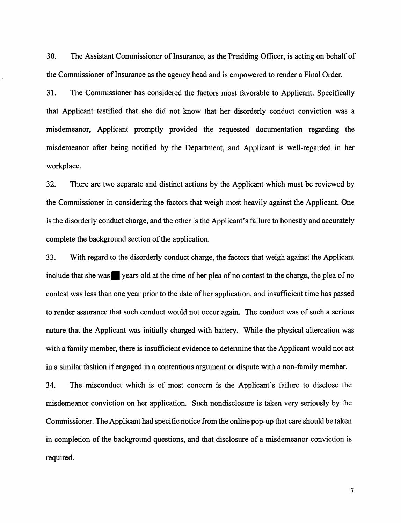30. The Assistant Commissioner of Insurance, as the Presiding Officer, is acting on behalf of the Commissioner of Insurance as the agency head and is empowered to render a Final Order.

31. The Commissioner has considered the factors most favorable to Applicant. Specifically that Applicant testified that she did not know that her disorderly conduct conviction was a misdemeanor, Applicant promptly provided the requested documentation regarding the misdemeanor after being notified by the Department, and Applicant is well-regarded in her workplace.

32. There are two separate and distinct actions by the Applicant which must be reviewed by the Commissioner in considering the factors that weigh most heavily against the Applicant. One is the disorderly conduct charge, and the other is the Applicant's failure to honestly and accurately complete the background section of the application.

33. With regard to the disorderly conduct charge, the factors that weigh against the Applicant include that she was vears old at the time of her plea of no contest to the charge, the plea of no contest was less than one year prior to the date of her application, and insufficient time has passed to render assurance that such conduct would not occur again. The conduct was of such a serious nature that the Applicant was initially charged with battery. While the physical altercation was with a family member, there is insufficient evidence to determine that the Applicant would not act in a similar fashion if engaged in a contentious argument or dispute with a non-family member.

34. The misconduct which is of most concern is the Applicant's failure to disclose the misdemeanor conviction on her application. Such nondisclosure is taken very seriously by the Commissioner. The Applicant had specific notice from the online pop-up that care should be taken in completion of the background questions, and that disclosure of a misdemeanor conviction is required.

7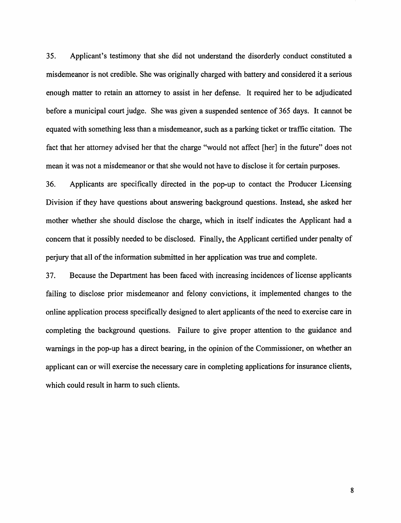35. Applicant's testimony that she did not understand the disorderly conduct constituted a misdemeanor is not credible. She was originally charged with battery and considered it a serious enough matter to retain an attorney to assist in her defense. It required her to be adjudicated before a municipal court judge. She was given a suspended sentence of 365 days. It cannot be equated with something less than a misdemeanor, such as a parking ticket or traffic citation. The fact that her attorney advised her that the charge "would not affect [her] in the future" does not mean it was not a misdemeanor or that she would not have to disclose it for certain purposes.

36. Applicants are specifically directed in the pop-up to contact the Producer Licensing Division if they have questions about answering background questions. Instead, she asked her mother whether she should disclose the charge, which in itself indicates the Applicant had a concern that it possibly needed to be disclosed. Finally, the Applicant certified under penalty of perjury that all of the information submitted in her application was true and complete.

3 7. Because the Department has been faced with increasing incidences of license applicants failing to disclose prior misdemeanor and felony convictions, it implemented changes to the online application process specifically designed to alert applicants of the need to exercise care in completing the background questions. Failure to give proper attention to the guidance and warnings in the pop-up has a direct bearing, in the opinion of the Commissioner, on whether an applicant can or will exercise the necessary care in completing applications for insurance clients, which could result in harm to such clients.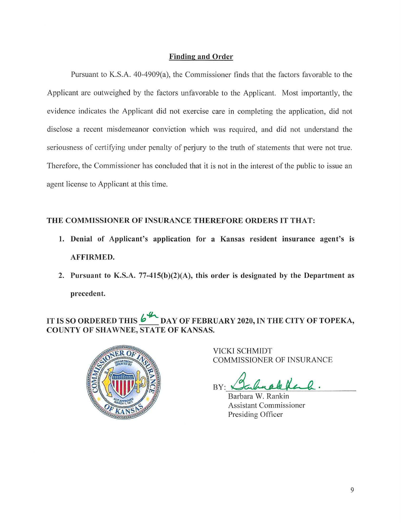## **Finding and Order**

Pursuant to K.S.A. 40-4909(a), the Commissioner finds that the factors favorable to the Applicant are outweighed by the factors unfavorable to the Applicant. Most importantly, the evidence indicates the Applicant did not exercise care in completing the application, did not disclose a recent misdemeanor conviction which was required, and did not understand the seriousness of certifying under penalty of perjury to the truth of statements that were not true. Therefore, the Commissioner has concluded that it is not in the interest of the public to issue an agent license to Applicant at this time.

# **THE COMMISSIONER OF INSURANCE THEREFORE ORDERS IT THAT:**

- **1. Denial of Applicant's application for a Kansas resident insurance agent's is AFFIRMED.**
- **2. Pursuant to K.S.A. 77-415(b)(2)(A), this order is designated by the Department as precedent.**

# IT IS SO ORDERED THIS  $\frac{1}{2}$  DAY OF FEBRUARY 2020, IN THE CITY OF TOPEKA, **COUNTY OF SHAWNEE, STATE OF KANSAS.**



VICKI SCHMIDT COMMISSIONER OF INSURANCE

BY: Bahnakkel

Barbara W. Rankin Assistant Commissioner Presiding Officer